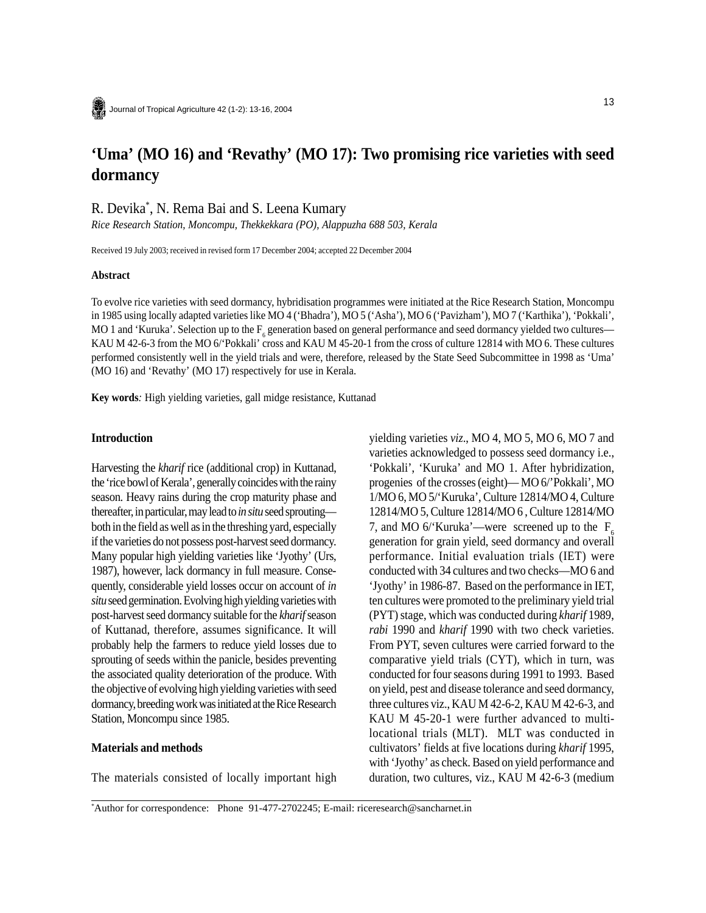# **'Uma' (MO 16) and 'Revathy' (MO 17): Two promising rice varieties with seed dormancy**

R. Devika\* , N. Rema Bai and S. Leena Kumary

*Rice Research Station, Moncompu, Thekkekkara (PO), Alappuzha 688 503, Kerala*

Received 19 July 2003; received in revised form 17 December 2004; accepted 22 December 2004

#### **Abstract**

To evolve rice varieties with seed dormancy, hybridisation programmes were initiated at the Rice Research Station, Moncompu in 1985 using locally adapted varieties like MO 4 ('Bhadra'), MO 5 ('Asha'), MO 6 ('Pavizham'), MO 7 ('Karthika'), 'Pokkali', MO 1 and 'Kuruka'. Selection up to the  $F_6$  generation based on general performance and seed dormancy yielded two cultures— KAU M 42-6-3 from the MO 6/'Pokkali' cross and KAU M 45-20-1 from the cross of culture 12814 with MO 6. These cultures performed consistently well in the yield trials and were, therefore, released by the State Seed Subcommittee in 1998 as 'Uma' (MO 16) and 'Revathy' (MO 17) respectively for use in Kerala.

**Key words***:* High yielding varieties, gall midge resistance, Kuttanad

#### **Introduction**

Harvesting the *kharif* rice (additional crop) in Kuttanad, the 'rice bowl of Kerala', generally coincides with the rainy season. Heavy rains during the crop maturity phase and thereafter, in particular, may lead to *in situ* seed sprouting both in the field as well as in the threshing yard, especially if the varieties do not possess post-harvest seed dormancy. Many popular high yielding varieties like 'Jyothy' (Urs, 1987), however, lack dormancy in full measure. Consequently, considerable yield losses occur on account of *in situ* seed germination. Evolving high yielding varieties with post-harvest seed dormancy suitable for the *kharif* season of Kuttanad, therefore, assumes significance. It will probably help the farmers to reduce yield losses due to sprouting of seeds within the panicle, besides preventing the associated quality deterioration of the produce. With the objective of evolving high yielding varieties with seed dormancy, breeding work was initiated at the Rice Research Station, Moncompu since 1985.

## **Materials and methods**

The materials consisted of locally important high

yielding varieties *viz*., MO 4, MO 5, MO 6, MO 7 and varieties acknowledged to possess seed dormancy i.e., 'Pokkali', 'Kuruka' and MO 1. After hybridization, progenies of the crosses (eight)— MO 6/'Pokkali', MO 1/MO 6, MO 5/'Kuruka', Culture 12814/MO 4, Culture 12814/MO 5, Culture 12814/MO 6 , Culture 12814/MO 7, and MO  $6$ <sup>'</sup>Kuruka'—were screened up to the F<sub>c</sub> generation for grain yield, seed dormancy and overall performance. Initial evaluation trials (IET) were conducted with 34 cultures and two checks—MO 6 and 'Jyothy' in 1986-87. Based on the performance in IET, ten cultures were promoted to the preliminary yield trial (PYT) stage, which was conducted during *kharif* 1989, *rabi* 1990 and *kharif* 1990 with two check varieties. From PYT, seven cultures were carried forward to the comparative yield trials (CYT), which in turn, was conducted for four seasons during 1991 to 1993. Based on yield, pest and disease tolerance and seed dormancy, three cultures viz., KAU M 42-6-2, KAU M 42-6-3, and KAU M 45-20-1 were further advanced to multilocational trials (MLT). MLT was conducted in cultivators' fields at five locations during *kharif* 1995, with 'Jyothy' as check. Based on yield performance and duration, two cultures, viz., KAU M 42-6-3 (medium

<sup>\*</sup> Author for correspondence: Phone 91-477-2702245; E-mail: riceresearch@sancharnet.in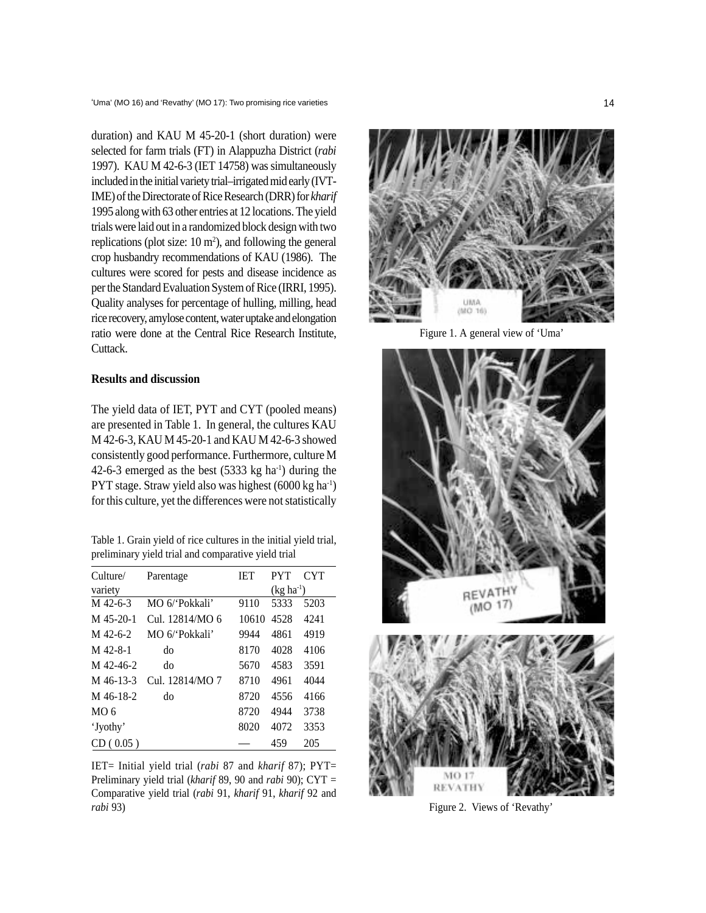duration) and KAU M 45-20-1 (short duration) were selected for farm trials (FT) in Alappuzha District (*rabi* 1997). KAU M 42-6-3 (IET 14758) was simultaneously included in the initial variety trial–irrigated mid early (IVT-IME) of the Directorate of Rice Research (DRR) for *kharif* 1995 along with 63 other entries at 12 locations. The yield trials were laid out in a randomized block design with two replications (plot size:  $10 \text{ m}^2$ ), and following the general crop husbandry recommendations of KAU (1986). The cultures were scored for pests and disease incidence as per the Standard Evaluation System of Rice (IRRI, 1995). Quality analyses for percentage of hulling, milling, head rice recovery, amylose content, water uptake and elongation ratio were done at the Central Rice Research Institute, Cuttack.

## **Results and discussion**

The yield data of IET, PYT and CYT (pooled means) are presented in Table 1. In general, the cultures KAU M 42-6-3, KAU M 45-20-1 and KAU M 42-6-3 showed consistently good performance. Furthermore, culture M 42-6-3 emerged as the best  $(5333 \text{ kg ha}^{-1})$  during the PYT stage. Straw yield also was highest (6000 kg ha-1) for this culture, yet the differences were not statistically

Table 1. Grain yield of rice cultures in the initial yield trial, preliminary yield trial and comparative yield trial

| Culture/        | Parentage       | <b>IET</b> | <b>PYT</b>  | <b>CYT</b> |
|-----------------|-----------------|------------|-------------|------------|
| variety         |                 |            | $(kg ha-1)$ |            |
| M 42-6-3        | MO 6/'Pokkali'  | 9110       | 5333        | 5203       |
| M 45-20-1       | Cul. 12814/MO 6 | 10610      | 4528        | 4241       |
| M 42-6-2        | MO 6/'Pokkali'  | 9944       | 4861        | 4919       |
| M 42-8-1        | do              | 8170       | 4028        | 4106       |
| M 42-46-2       | do              | 5670       | 4583        | 3591       |
| M 46-13-3       | Cul. 12814/MO 7 | 8710       | 4961        | 4044       |
| M 46-18-2       | do              | 8720       | 4556        | 4166       |
| MO <sub>6</sub> |                 | 8720       | 4944        | 3738       |
| 'Jyothy'        |                 | 8020       | 4072        | 3353       |
| CD(0.05)        |                 |            | 459         | 205        |

IET= Initial yield trial (*rabi* 87 and *kharif* 87); PYT= Preliminary yield trial (*kharif* 89, 90 and *rabi* 90); CYT = Comparative yield trial (*rabi* 91, *kharif* 91, *kharif* 92 and *rabi* 93) Figure 2. Views of 'Revathy'



Figure 1. A general view of 'Uma'

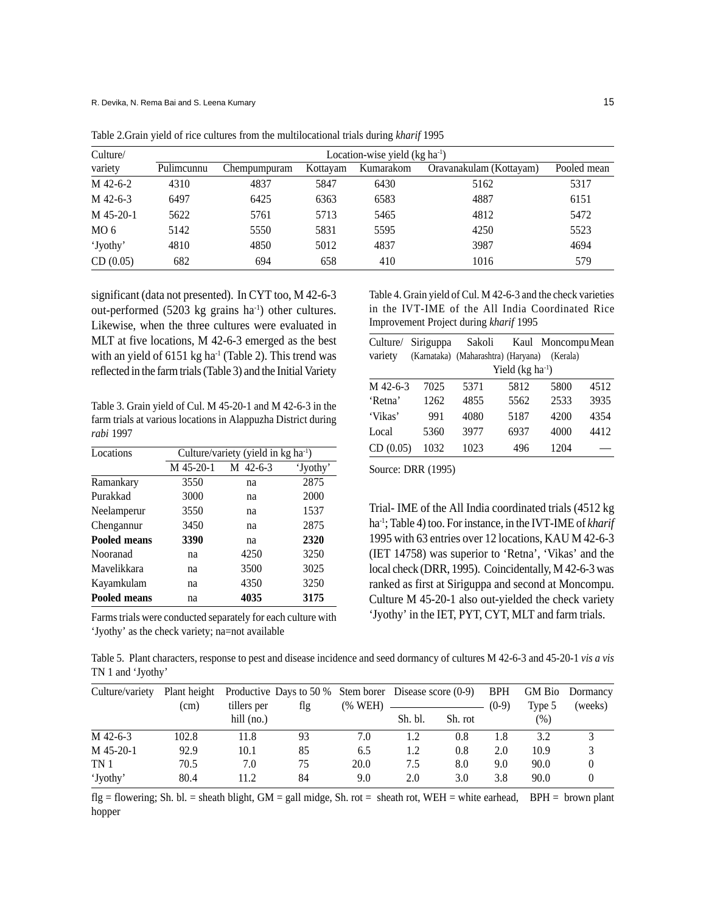| Culture/        | Location-wise yield $(kg ha1)$ |              |          |           |                         |             |  |
|-----------------|--------------------------------|--------------|----------|-----------|-------------------------|-------------|--|
| variety         | Pulimcunnu                     | Chempumpuram | Kottayam | Kumarakom | Oravanakulam (Kottayam) | Pooled mean |  |
| M 42-6-2        | 4310                           | 4837         | 5847     | 6430      | 5162                    | 5317        |  |
| M 42-6-3        | 6497                           | 6425         | 6363     | 6583      | 4887                    | 6151        |  |
| $M$ 45-20-1     | 5622                           | 5761         | 5713     | 5465      | 4812                    | 5472        |  |
| MO <sub>6</sub> | 5142                           | 5550         | 5831     | 5595      | 4250                    | 5523        |  |
| 'Jyothy'        | 4810                           | 4850         | 5012     | 4837      | 3987                    | 4694        |  |
| CD(0.05)        | 682                            | 694          | 658      | 410       | 1016                    | 579         |  |

Table 2.Grain yield of rice cultures from the multilocational trials during *kharif* 1995

significant (data not presented). In CYT too, M 42-6-3 out-performed (5203 kg grains ha<sup>-1</sup>) other cultures. Likewise, when the three cultures were evaluated in MLT at five locations, M 42-6-3 emerged as the best with an yield of  $6151 \text{ kg}$  ha<sup>-1</sup> (Table 2). This trend was reflected in the farm trials (Table 3) and the Initial Variety

Table 3. Grain yield of Cul. M 45-20-1 and M 42-6-3 in the farm trials at various locations in Alappuzha District during *rabi* 1997

| Locations           | Culture/variety (yield in kg ha <sup>-1</sup> ) |          |          |  |  |
|---------------------|-------------------------------------------------|----------|----------|--|--|
|                     | M 45-20-1                                       | M 42-6-3 | 'Jyothy' |  |  |
| Ramankary           | 3550                                            | na       | 2875     |  |  |
| Purakkad            | 3000                                            | na       | 2000     |  |  |
| Neelamperur         | 3550                                            | na       | 1537     |  |  |
| Chengannur          | 3450                                            | na       | 2875     |  |  |
| Pooled means        | 3390                                            | na       | 2320     |  |  |
| Nooranad            | na                                              | 4250     | 3250     |  |  |
| Mavelikkara         | na                                              | 3500     | 3025     |  |  |
| Kayamkulam          | na                                              | 4350     | 3250     |  |  |
| <b>Pooled means</b> | na                                              | 4035     | 3175     |  |  |

Farms trials were conducted separately for each culture with 'Jyothy' as the check variety; na=not available

Table 4. Grain yield of Cul. M 42-6-3 and the check varieties in the IVT-IME of the All India Coordinated Rice Improvement Project during *kharif* 1995

| Culture/ | Siriguppa | Sakoli                              |                   | Kaul Moncompu Mean |      |
|----------|-----------|-------------------------------------|-------------------|--------------------|------|
| variety  |           | (Karnataka) (Maharashtra) (Haryana) |                   | (Kerala)           |      |
|          |           |                                     | Yield $(kg ha-1)$ |                    |      |
| M 42-6-3 | 7025      | 5371                                | 5812              | 5800               | 4512 |
| 'Retna'  | 1262      | 4855                                | 5562              | 2533               | 3935 |
| 'Vikas'  | 991       | 4080                                | 5187              | 4200               | 4354 |
| Local    | 5360      | 3977                                | 6937              | 4000               | 4412 |
| CD(0.05) | 1032      | 1023                                | 496               | 1204               |      |

Source: DRR (1995)

Trial- IME of the All India coordinated trials (4512 kg ha-1; Table 4) too. For instance, in the IVT-IME of *kharif* 1995 with 63 entries over 12 locations, KAU M 42-6-3 (IET 14758) was superior to 'Retna', 'Vikas' and the local check (DRR, 1995). Coincidentally, M 42-6-3 was ranked as first at Siriguppa and second at Moncompu. Culture M 45-20-1 also out-yielded the check variety 'Jyothy' in the IET, PYT, CYT, MLT and farm trials.

Table 5. Plant characters, response to pest and disease incidence and seed dormancy of cultures M 42-6-3 and 45-20-1 *vis a vis* TN 1 and 'Jyothy'

| Culture/variety | Plant height |              | Productive Days to 50 $\%$ Stem borer Disease score (0-9) |         |         |         | <b>BPH</b> |        | GM Bio Dormancy |
|-----------------|--------------|--------------|-----------------------------------------------------------|---------|---------|---------|------------|--------|-----------------|
|                 | (cm)         | tillers per  | flg                                                       | (% WEH) |         |         | $(0-9)$    | Type 5 | (weeks)         |
|                 |              | hill $(no.)$ |                                                           |         | Sh. bl. | Sh. rot |            | (% )   |                 |
| M 42-6-3        | 102.8        | 11.8         | 93                                                        | 7.0     | 1.2     | 0.8     | 1.8        | 3.2    |                 |
| $M$ 45-20-1     | 92.9         | 10.1         | 85                                                        | 6.5     | 1.2     | 0.8     | 2.0        | 10.9   |                 |
| TN <sub>1</sub> | 70.5         | 7.0          | 75                                                        | 20.0    | 7.5     | 8.0     | 9.0        | 90.0   | $\theta$        |
| 'Jyothy'        | 80.4         | 11.2         | 84                                                        | 9.0     | 2.0     | 3.0     | 3.8        | 90.0   |                 |

flg = flowering; Sh. bl. = sheath blight, GM = gall midge, Sh. rot = sheath rot, WEH = white earhead, BPH = brown plant hopper